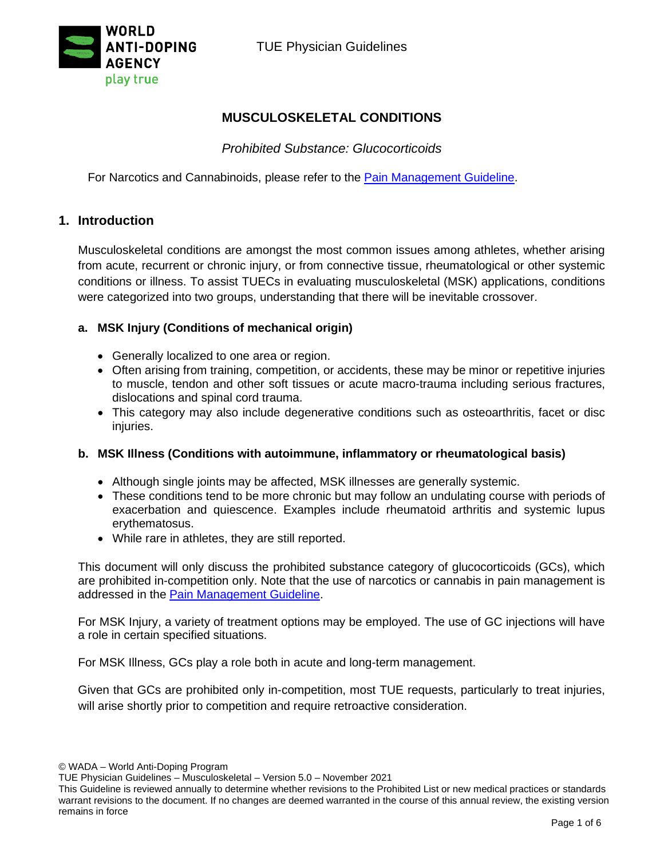

## **MUSCULOSKELETAL CONDITIONS**

## *Prohibited Substance: Glucocorticoids*

For Narcotics and Cannabinoids, please refer to the [Pain Management Guideline.](https://www.wada-ama.org/en/resources/therapeutic-use-exemption-tue/medical-information-to-support-the-decisions-of-tuecs-6)

### **1. Introduction**

Musculoskeletal conditions are amongst the most common issues among athletes, whether arising from acute, recurrent or chronic injury, or from connective tissue, rheumatological or other systemic conditions or illness. To assist TUECs in evaluating musculoskeletal (MSK) applications, conditions were categorized into two groups, understanding that there will be inevitable crossover.

### **a. MSK Injury (Conditions of mechanical origin)**

- Generally localized to one area or region.
- Often arising from training, competition, or accidents, these may be minor or repetitive injuries to muscle, tendon and other soft tissues or acute macro-trauma including serious fractures, dislocations and spinal cord trauma.
- This category may also include degenerative conditions such as osteoarthritis, facet or disc injuries.

### **b. MSK Illness (Conditions with autoimmune, inflammatory or rheumatological basis)**

- Although single joints may be affected, MSK illnesses are generally systemic.
- These conditions tend to be more chronic but may follow an undulating course with periods of exacerbation and quiescence. Examples include rheumatoid arthritis and systemic lupus erythematosus.
- While rare in athletes, they are still reported.

This document will only discuss the prohibited substance category of glucocorticoids (GCs), which are prohibited in-competition only. Note that the use of narcotics or cannabis in pain management is addressed in the [Pain Management Guideline.](https://www.wada-ama.org/en/resources/therapeutic-use-exemption-tue/medical-information-to-support-the-decisions-of-tuecs-6)

For MSK Injury, a variety of treatment options may be employed. The use of GC injections will have a role in certain specified situations.

For MSK Illness, GCs play a role both in acute and long-term management.

Given that GCs are prohibited only in-competition, most TUE requests, particularly to treat injuries, will arise shortly prior to competition and require retroactive consideration.

TUE Physician Guidelines – Musculoskeletal – Version 5.0 – November 2021

This Guideline is reviewed annually to determine whether revisions to the Prohibited List or new medical practices or standards warrant revisions to the document. If no changes are deemed warranted in the course of this annual review, the existing version remains in force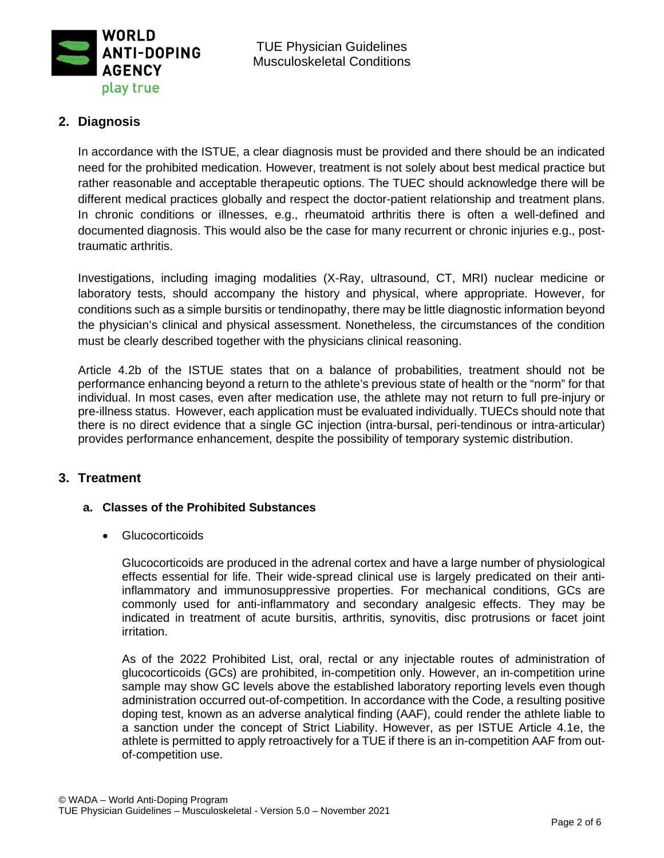

# **2. Diagnosis**

In accordance with the ISTUE, a clear diagnosis must be provided and there should be an indicated need for the prohibited medication. However, treatment is not solely about best medical practice but rather reasonable and acceptable therapeutic options. The TUEC should acknowledge there will be different medical practices globally and respect the doctor-patient relationship and treatment plans. In chronic conditions or illnesses, e.g., rheumatoid arthritis there is often a well-defined and documented diagnosis. This would also be the case for many recurrent or chronic injuries e.g., posttraumatic arthritis.

Investigations, including imaging modalities (X-Ray, ultrasound, CT, MRI) nuclear medicine or laboratory tests, should accompany the history and physical, where appropriate. However, for conditions such as a simple bursitis or tendinopathy, there may be little diagnostic information beyond the physician's clinical and physical assessment. Nonetheless, the circumstances of the condition must be clearly described together with the physicians clinical reasoning.

Article 4.2b of the ISTUE states that on a balance of probabilities, treatment should not be performance enhancing beyond a return to the athlete's previous state of health or the "norm" for that individual. In most cases, even after medication use, the athlete may not return to full pre-injury or pre-illness status. However, each application must be evaluated individually. TUECs should note that there is no direct evidence that a single GC injection (intra-bursal, peri-tendinous or intra-articular) provides performance enhancement, despite the possibility of temporary systemic distribution.

## **3. Treatment**

### **a. Classes of the Prohibited Substances**

• Glucocorticoids

Glucocorticoids are produced in the adrenal cortex and have a large number of physiological effects essential for life. Their wide-spread clinical use is largely predicated on their antiinflammatory and immunosuppressive properties. For mechanical conditions, GCs are commonly used for anti-inflammatory and secondary analgesic effects. They may be indicated in treatment of acute bursitis, arthritis, synovitis, disc protrusions or facet joint irritation.

As of the 2022 Prohibited List, oral, rectal or any injectable routes of administration of glucocorticoids (GCs) are prohibited, in-competition only. However, an in-competition urine sample may show GC levels above the established laboratory reporting levels even though administration occurred out-of-competition. In accordance with the Code, a resulting positive doping test, known as an adverse analytical finding (AAF), could render the athlete liable to a sanction under the concept of Strict Liability. However, as per ISTUE Article 4.1e, the athlete is permitted to apply retroactively for a TUE if there is an in-competition AAF from outof-competition use.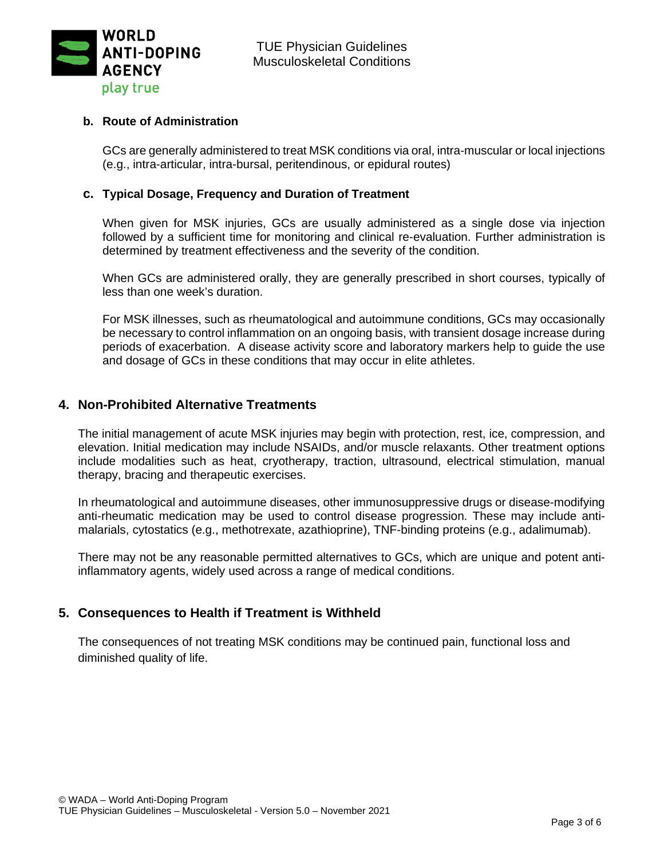

#### **b. Route of Administration**

GCs are generally administered to treat MSK conditions via oral, intra-muscular or local injections (e.g., intra-articular, intra-bursal, peritendinous, or epidural routes)

#### **c. Typical Dosage, Frequency and Duration of Treatment**

When given for MSK injuries, GCs are usually administered as a single dose via injection followed by a sufficient time for monitoring and clinical re-evaluation. Further administration is determined by treatment effectiveness and the severity of the condition.

When GCs are administered orally, they are generally prescribed in short courses, typically of less than one week's duration.

For MSK illnesses, such as rheumatological and autoimmune conditions, GCs may occasionally be necessary to control inflammation on an ongoing basis, with transient dosage increase during periods of exacerbation. A disease activity score and laboratory markers help to guide the use and dosage of GCs in these conditions that may occur in elite athletes.

### **4. Non-Prohibited Alternative Treatments**

The initial management of acute MSK injuries may begin with protection, rest, ice, compression, and elevation. Initial medication may include NSAIDs, and/or muscle relaxants. Other treatment options include modalities such as heat, cryotherapy, traction, ultrasound, electrical stimulation, manual therapy, bracing and therapeutic exercises.

In rheumatological and autoimmune diseases, other immunosuppressive drugs or disease-modifying anti-rheumatic medication may be used to control disease progression. These may include antimalarials, cytostatics (e.g., methotrexate, azathioprine), TNF-binding proteins (e.g., adalimumab).

There may not be any reasonable permitted alternatives to GCs, which are unique and potent antiinflammatory agents, widely used across a range of medical conditions.

## **5. Consequences to Health if Treatment is Withheld**

The consequences of not treating MSK conditions may be continued pain, functional loss and diminished quality of life.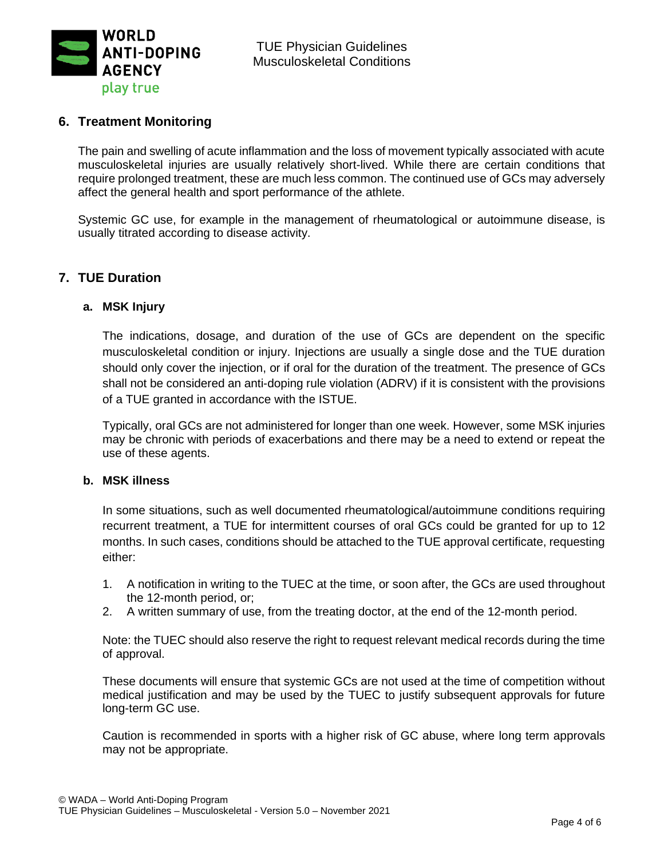

### **6. Treatment Monitoring**

The pain and swelling of acute inflammation and the loss of movement typically associated with acute musculoskeletal injuries are usually relatively short-lived. While there are certain conditions that require prolonged treatment, these are much less common. The continued use of GCs may adversely affect the general health and sport performance of the athlete.

Systemic GC use, for example in the management of rheumatological or autoimmune disease, is usually titrated according to disease activity.

### **7. TUE Duration**

#### **a. MSK Injury**

The indications, dosage, and duration of the use of GCs are dependent on the specific musculoskeletal condition or injury. Injections are usually a single dose and the TUE duration should only cover the injection, or if oral for the duration of the treatment. The presence of GCs shall not be considered an anti-doping rule violation (ADRV) if it is consistent with the provisions of a TUE granted in accordance with the ISTUE.

Typically, oral GCs are not administered for longer than one week. However, some MSK injuries may be chronic with periods of exacerbations and there may be a need to extend or repeat the use of these agents.

#### **b. MSK illness**

In some situations, such as well documented rheumatological/autoimmune conditions requiring recurrent treatment, a TUE for intermittent courses of oral GCs could be granted for up to 12 months. In such cases, conditions should be attached to the TUE approval certificate, requesting either:

- 1. A notification in writing to the TUEC at the time, or soon after, the GCs are used throughout the 12-month period, or;
- 2. A written summary of use, from the treating doctor, at the end of the 12-month period.

Note: the TUEC should also reserve the right to request relevant medical records during the time of approval.

These documents will ensure that systemic GCs are not used at the time of competition without medical justification and may be used by the TUEC to justify subsequent approvals for future long-term GC use.

Caution is recommended in sports with a higher risk of GC abuse, where long term approvals may not be appropriate.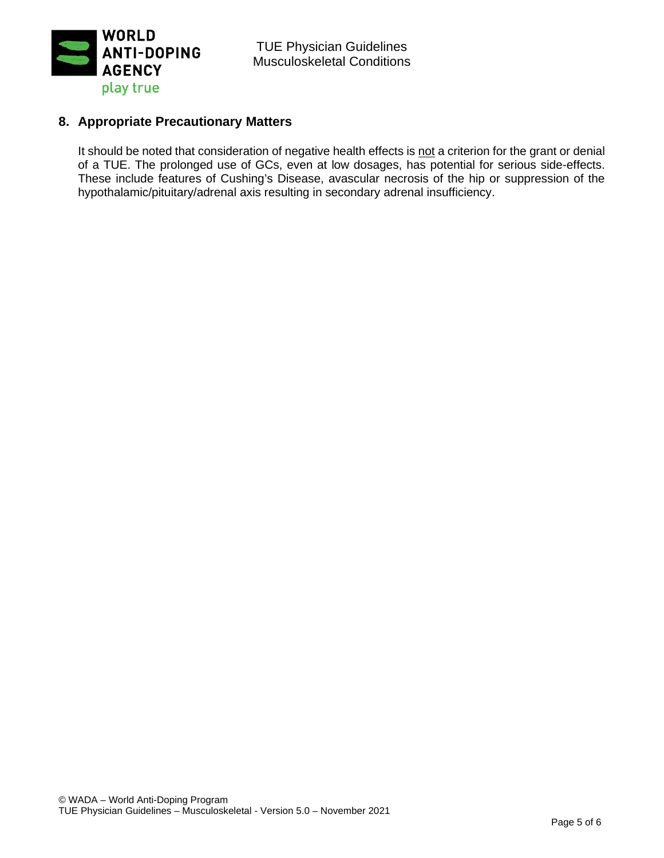

## **8. Appropriate Precautionary Matters**

It should be noted that consideration of negative health effects is not a criterion for the grant or denial of a TUE. The prolonged use of GCs, even at low dosages, has potential for serious side-effects. These include features of Cushing's Disease, avascular necrosis of the hip or suppression of the hypothalamic/pituitary/adrenal axis resulting in secondary adrenal insufficiency.